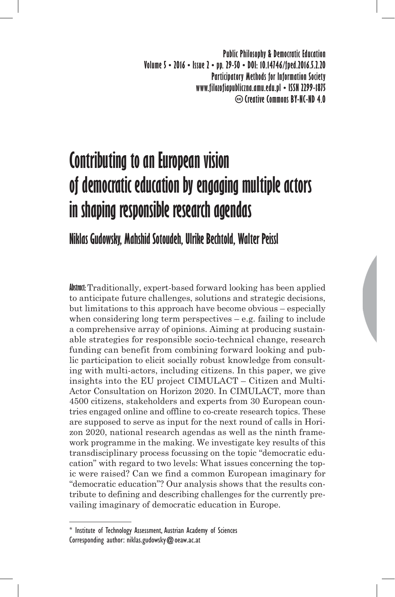**Public Philosophy & Democratic Education Volume 5 • 2016 • Issue 2 • pp. 29-50 • DOI: 10.14746/fped.2016.5.2.20 Participatory Methods for Information Society www.filozofiapubliczna.amu.edu.pl • ISSN 2299-1875 Creative Commons BY-NC-ND 4.0**

# **Contributing to an European vision of democratic education by engaging multiple actors in shaping responsible research agendas**

# **Niklas Gudowsky, Mahshid Sotoudeh, Ulrike Bechtold, Walter Peissl**

**Abstract:** Traditionally, expert-based forward looking has been applied to anticipate future challenges, solutions and strategic decisions, but limitations to this approach have become obvious – especially when considering long term perspectives – e.g. failing to include a comprehensive array of opinions. Aiming at producing sustainable strategies for responsible socio-technical change, research funding can benefit from combining forward looking and public participation to elicit socially robust knowledge from consulting with multi-actors, including citizens. In this paper, we give insights into the EU project CIMULACT – Citizen and Multi-Actor Consultation on Horizon 2020. In CIMULACT, more than 4500 citizens, stakeholders and experts from 30 European countries engaged online and offline to co-create research topics. These are supposed to serve as input for the next round of calls in Horizon 2020, national research agendas as well as the ninth framework programme in the making. We investigate key results of this transdisciplinary process focussing on the topic "democratic education" with regard to two levels: What issues concerning the topic were raised? Can we find a common European imaginary for "democratic education"? Our analysis shows that the results contribute to defining and describing challenges for the currently prevailing imaginary of democratic education in Europe.

<sup>\*</sup> Institute of Technology Assessment, Austrian Academy of Sciences Corresponding author: niklas.gudowsky $@$  oeaw.ac.at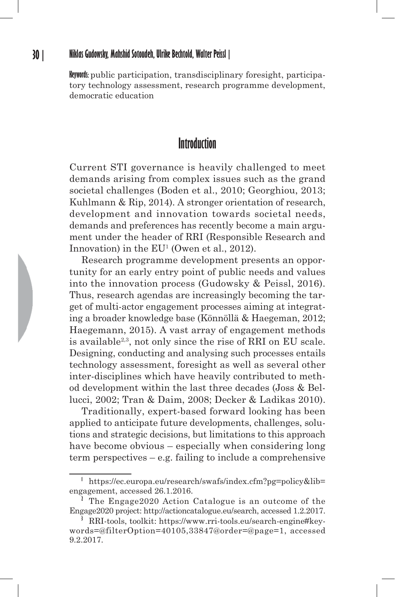**Keywords:** public participation, transdisciplinary foresight, participatory technology assessment, research programme development, democratic education

# **Introduction**

Current STI governance is heavily challenged to meet demands arising from complex issues such as the grand societal challenges (Boden et al., 2010; Georghiou, 2013; Kuhlmann & Rip, 2014). A stronger orientation of research, development and innovation towards societal needs, demands and preferences has recently become a main argument under the header of RRI (Responsible Research and Innovation) in the  $EU^1$  (Owen et al., 2012).

Research programme development presents an opportunity for an early entry point of public needs and values into the innovation process (Gudowsky & Peissl, 2016). Thus, research agendas are increasingly becoming the target of multi-actor engagement processes aiming at integrating a broader knowledge base (Könnöllä & Haegeman, 2012; Haegemann, 2015). A vast array of engagement methods is available2,3, not only since the rise of RRI on EU scale. Designing, conducting and analysing such processes entails technology assessment, foresight as well as several other inter-disciplines which have heavily contributed to method development within the last three decades (Joss & Bellucci, 2002; Tran & Daim, 2008; Decker & Ladikas 2010).

Traditionally, expert-based forward looking has been applied to anticipate future developments, challenges, solutions and strategic decisions, but limitations to this approach have become obvious – especially when considering long term perspectives – e.g. failing to include a comprehensive

**<sup>1</sup>** https://ec.europa.eu/research/swafs/index.cfm?pg=policy&lib= engagement, accessed 26.1.2016.

**<sup>2</sup>** The Engage2020 Action Catalogue is an outcome of the Engage2020 project: http://actioncatalogue.eu/search, accessed 1.2.2017.

<sup>&</sup>lt;sup>3</sup> RRI-tools, toolkit: https://www.rri-tools.eu/search-engine#keywords=@filterOption=40105,33847@order=@page=1, accessed 9.2.2017.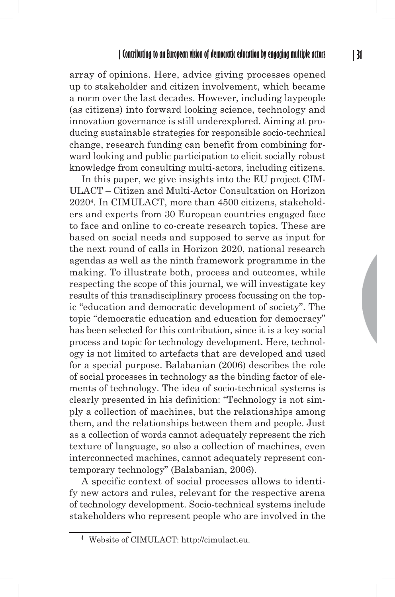array of opinions. Here, advice giving processes opened up to stakeholder and citizen involvement, which became a norm over the last decades. However, including laypeople (as citizens) into forward looking science, technology and innovation governance is still underexplored. Aiming at producing sustainable strategies for responsible socio-technical change, research funding can benefit from combining forward looking and public participation to elicit socially robust knowledge from consulting multi-actors, including citizens.

In this paper, we give insights into the EU project CIM-ULACT – Citizen and Multi-Actor Consultation on Horizon 20204 . In CIMULACT, more than 4500 citizens, stakeholders and experts from 30 European countries engaged face to face and online to co-create research topics. These are based on social needs and supposed to serve as input for the next round of calls in Horizon 2020, national research agendas as well as the ninth framework programme in the making. To illustrate both, process and outcomes, while respecting the scope of this journal, we will investigate key results of this transdisciplinary process focussing on the topic "education and democratic development of society". The topic "democratic education and education for democracy" has been selected for this contribution, since it is a key social process and topic for technology development. Here, technology is not limited to artefacts that are developed and used for a special purpose. Balabanian (2006) describes the role of social processes in technology as the binding factor of elements of technology. The idea of socio-technical systems is clearly presented in his definition: "Technology is not simply a collection of machines, but the relationships among them, and the relationships between them and people. Just as a collection of words cannot adequately represent the rich texture of language, so also a collection of machines, even interconnected machines, cannot adequately represent contemporary technology" (Balabanian, 2006).

A specific context of social processes allows to identify new actors and rules, relevant for the respective arena of technology development. Socio-technical systems include stakeholders who represent people who are involved in the

**<sup>4</sup>** Website of CIMULACT: http://cimulact.eu.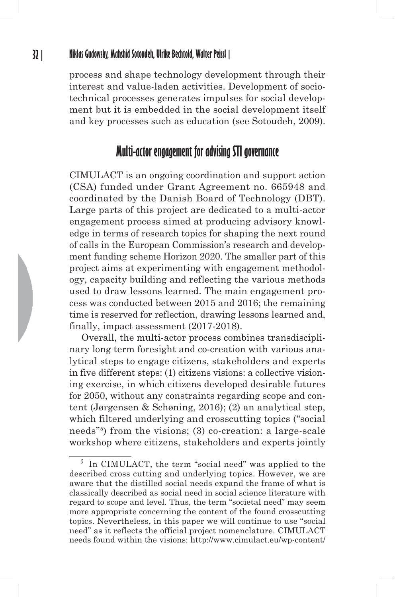process and shape technology development through their interest and value-laden activities. Development of sociotechnical processes generates impulses for social development but it is embedded in the social development itself and key processes such as education (see Sotoudeh, 2009).

# **Multi-actor engagement for advising STI governance**

CIMULACT is an ongoing coordination and support action (CSA) funded under Grant Agreement no. 665948 and coordinated by the Danish Board of Technology (DBT). Large parts of this project are dedicated to a multi-actor engagement process aimed at producing advisory knowledge in terms of research topics for shaping the next round of calls in the European Commission's research and development funding scheme Horizon 2020. The smaller part of this project aims at experimenting with engagement methodology, capacity building and reflecting the various methods used to draw lessons learned. The main engagement process was conducted between 2015 and 2016; the remaining time is reserved for reflection, drawing lessons learned and, finally, impact assessment (2017-2018).

Overall, the multi-actor process combines transdisciplinary long term foresight and co-creation with various analytical steps to engage citizens, stakeholders and experts in five different steps: (1) citizens visions: a collective visioning exercise, in which citizens developed desirable futures for 2050, without any constraints regarding scope and content (Jørgensen & Schøning, 2016); (2) an analytical step, which filtered underlying and crosscutting topics ("social needs"5) from the visions; (3) co-creation: a large-scale workshop where citizens, stakeholders and experts jointly

<sup>&</sup>lt;sup>5</sup> In CIMULACT, the term "social need" was applied to the described cross cutting and underlying topics. However, we are aware that the distilled social needs expand the frame of what is classically described as social need in social science literature with regard to scope and level. Thus, the term "societal need" may seem more appropriate concerning the content of the found crosscutting topics. Nevertheless, in this paper we will continue to use "social need" as it reflects the official project nomenclature. CIMULACT needs found within the visions: http://www.cimulact.eu/wp-content/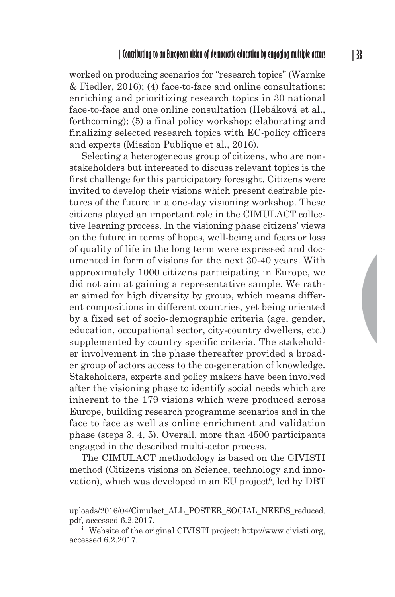worked on producing scenarios for "research topics" (Warnke & Fiedler, 2016); (4) face-to-face and online consultations: enriching and prioritizing research topics in 30 national face-to-face and one online consultation (Hebáková et al., forthcoming); (5) a final policy workshop: elaborating and finalizing selected research topics with EC-policy officers and experts (Mission Publique et al., 2016).

Selecting a heterogeneous group of citizens, who are nonstakeholders but interested to discuss relevant topics is the first challenge for this participatory foresight. Citizens were invited to develop their visions which present desirable pictures of the future in a one-day visioning workshop. These citizens played an important role in the CIMULACT collective learning process. In the visioning phase citizens' views on the future in terms of hopes, well-being and fears or loss of quality of life in the long term were expressed and documented in form of visions for the next 30-40 years. With approximately 1000 citizens participating in Europe, we did not aim at gaining a representative sample. We rather aimed for high diversity by group, which means different compositions in different countries, yet being oriented by a fixed set of socio-demographic criteria (age, gender, education, occupational sector, city-country dwellers, etc.) supplemented by country specific criteria. The stakeholder involvement in the phase thereafter provided a broader group of actors access to the co-generation of knowledge. Stakeholders, experts and policy makers have been involved after the visioning phase to identify social needs which are inherent to the 179 visions which were produced across Europe, building research programme scenarios and in the face to face as well as online enrichment and validation phase (steps 3, 4, 5). Overall, more than 4500 participants engaged in the described multi-actor process.

The CIMULACT methodology is based on the CIVISTI method (Citizens visions on Science, technology and innovation), which was developed in an EU project<sup>6</sup>, led by DBT

uploads/2016/04/Cimulact\_ALL\_POSTER\_SOCIAL\_NEEDS\_reduced. pdf, accessed 6.2.2017.

**<sup>6</sup>** Website of the original CIVISTI project: http://www.civisti.org, accessed 6.2.2017.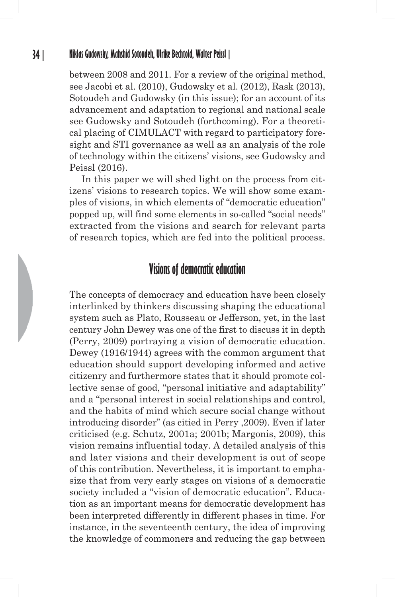between 2008 and 2011. For a review of the original method, see Jacobi et al. (2010), Gudowsky et al. (2012), Rask (2013), Sotoudeh and Gudowsky (in this issue); for an account of its advancement and adaptation to regional and national scale see Gudowsky and Sotoudeh (forthcoming). For a theoretical placing of CIMULACT with regard to participatory foresight and STI governance as well as an analysis of the role of technology within the citizens' visions, see Gudowsky and Peissl (2016).

In this paper we will shed light on the process from citizens' visions to research topics. We will show some examples of visions, in which elements of "democratic education" popped up, will find some elements in so-called "social needs" extracted from the visions and search for relevant parts of research topics, which are fed into the political process.

# **Visions of democratic education**

The concepts of democracy and education have been closely interlinked by thinkers discussing shaping the educational system such as Plato, Rousseau or Jefferson, yet, in the last century John Dewey was one of the first to discuss it in depth (Perry, 2009) portraying a vision of democratic education. Dewey (1916/1944) agrees with the common argument that education should support developing informed and active citizenry and furthermore states that it should promote collective sense of good, "personal initiative and adaptability" and a "personal interest in social relationships and control, and the habits of mind which secure social change without introducing disorder" (as citied in Perry ,2009). Even if later criticised (e.g. Schutz, 2001a; 2001b; Margonis, 2009), this vision remains influential today. A detailed analysis of this and later visions and their development is out of scope of this contribution. Nevertheless, it is important to emphasize that from very early stages on visions of a democratic society included a "vision of democratic education". Education as an important means for democratic development has been interpreted differently in different phases in time. For instance, in the seventeenth century, the idea of improving the knowledge of commoners and reducing the gap between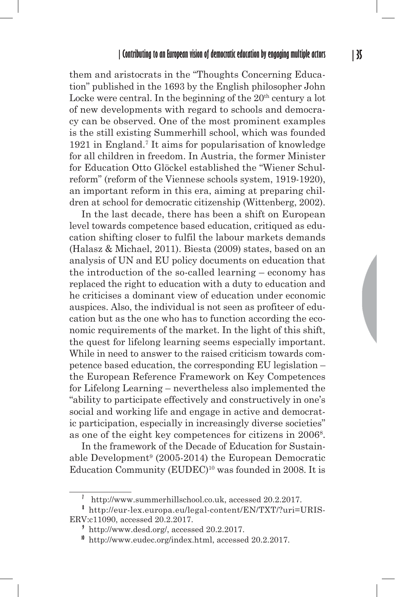them and aristocrats in the "Thoughts Concerning Education" published in the 1693 by the English philosopher John Locke were central. In the beginning of the  $20<sup>th</sup>$  century a lot of new developments with regard to schools and democracy can be observed. One of the most prominent examples is the still existing Summerhill school, which was founded 1921 in England.7 It aims for popularisation of knowledge for all children in freedom. In Austria, the former Minister for Education Otto Glöckel established the "Wiener Schulreform" (reform of the Viennese schools system, 1919-1920), an important reform in this era, aiming at preparing children at school for democratic citizenship (Wittenberg, 2002).

In the last decade, there has been a shift on European level towards competence based education, critiqued as education shifting closer to fulfil the labour markets demands (Halasz & Michael, 2011). Biesta (2009) states, based on an analysis of UN and EU policy documents on education that the introduction of the so-called learning – economy has replaced the right to education with a duty to education and he criticises a dominant view of education under economic auspices. Also, the individual is not seen as profiteer of education but as the one who has to function according the economic requirements of the market. In the light of this shift, the quest for lifelong learning seems especially important. While in need to answer to the raised criticism towards competence based education, the corresponding EU legislation – the European Reference Framework on Key Competences for Lifelong Learning – nevertheless also implemented the "ability to participate effectively and constructively in one's social and working life and engage in active and democratic participation, especially in increasingly diverse societies" as one of the eight key competences for citizens in 2006<sup>8</sup>.

In the framework of the Decade of Education for Sustainable Development<sup>9</sup> (2005-2014) the European Democratic Education Community (EUDEC)<sup>10</sup> was founded in 2008. It is

**<sup>7</sup>** http://www.summerhillschool.co.uk, accessed 20.2.2017.

**<sup>8</sup>** http://eur-lex.europa.eu/legal-content/EN/TXT/?uri=URIS-ERV:c11090, accessed 20.2.2017.

**<sup>9</sup>** http://www.desd.org/, accessed 20.2.2017.

**<sup>10</sup>** http://www.eudec.org/index.html, accessed 20.2.2017.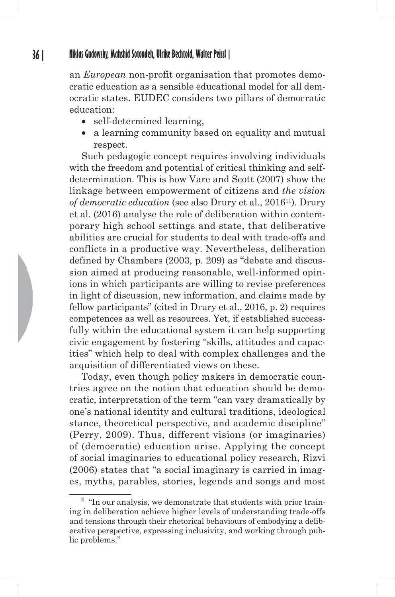an *European* non-profit organisation that promotes democratic education as a sensible educational model for all democratic states. EUDEC considers two pillars of democratic education:

- self-determined learning,
- a learning community based on equality and mutual respect.

Such pedagogic concept requires involving individuals with the freedom and potential of critical thinking and selfdetermination. This is how Vare and Scott (2007) show the linkage between empowerment of citizens and *the vision of democratic education* (see also Drury et al., 201611). Drury et al. (2016) analyse the role of deliberation within contemporary high school settings and state, that deliberative abilities are crucial for students to deal with trade-offs and conflicts in a productive way. Nevertheless, deliberation defined by Chambers (2003, p. 209) as "debate and discussion aimed at producing reasonable, well-informed opinions in which participants are willing to revise preferences in light of discussion, new information, and claims made by fellow participants" (cited in Drury et al., 2016, p. 2) requires competences as well as resources. Yet, if established successfully within the educational system it can help supporting civic engagement by fostering "skills, attitudes and capacities" which help to deal with complex challenges and the acquisition of differentiated views on these.

Today, even though policy makers in democratic countries agree on the notion that education should be democratic, interpretation of the term "can vary dramatically by one's national identity and cultural traditions, ideological stance, theoretical perspective, and academic discipline" (Perry, 2009). Thus, different visions (or imaginaries) of (democratic) education arise. Applying the concept of social imaginaries to educational policy research, Rizvi (2006) states that "a social imaginary is carried in images, myths, parables, stories, legends and songs and most

**<sup>11</sup>** "In our analysis, we demonstrate that students with prior training in deliberation achieve higher levels of understanding trade-offs and tensions through their rhetorical behaviours of embodying a deliberative perspective, expressing inclusivity, and working through public problems."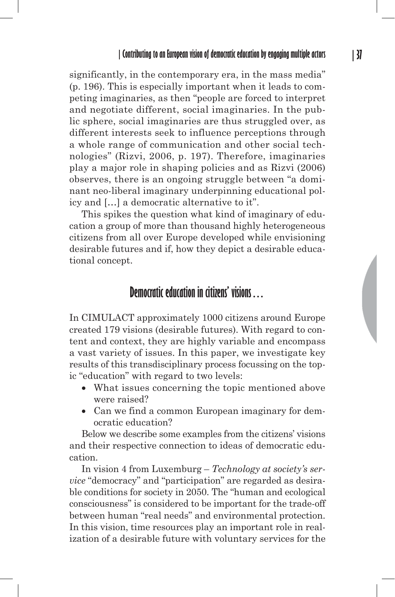significantly, in the contemporary era, in the mass media" (p. 196). This is especially important when it leads to competing imaginaries, as then "people are forced to interpret and negotiate different, social imaginaries. In the public sphere, social imaginaries are thus struggled over, as different interests seek to influence perceptions through a whole range of communication and other social technologies" (Rizvi, 2006, p. 197). Therefore, imaginaries play a major role in shaping policies and as Rizvi (2006) observes, there is an ongoing struggle between "a dominant neo-liberal imaginary underpinning educational policy and […] a democratic alternative to it".

This spikes the question what kind of imaginary of education a group of more than thousand highly heterogeneous citizens from all over Europe developed while envisioning desirable futures and if, how they depict a desirable educational concept.

# **Democratic education in citizens' visions…**

In CIMULACT approximately 1000 citizens around Europe created 179 visions (desirable futures). With regard to content and context, they are highly variable and encompass a vast variety of issues. In this paper, we investigate key results of this transdisciplinary process focussing on the topic "education" with regard to two levels:

- What issues concerning the topic mentioned above were raised?
- Can we find a common European imaginary for democratic education?

Below we describe some examples from the citizens' visions and their respective connection to ideas of democratic education.

In vision 4 from Luxemburg – *Technology at society's service* "democracy" and "participation" are regarded as desirable conditions for society in 2050. The "human and ecological consciousness" is considered to be important for the trade-off between human "real needs" and environmental protection. In this vision, time resources play an important role in realization of a desirable future with voluntary services for the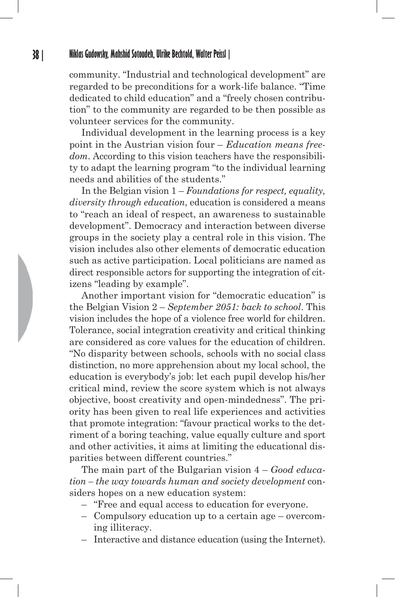community. "Industrial and technological development" are regarded to be preconditions for a work-life balance. "Time dedicated to child education" and a "freely chosen contribution" to the community are regarded to be then possible as volunteer services for the community.

Individual development in the learning process is a key point in the Austrian vision four – *Education means freedom*. According to this vision teachers have the responsibility to adapt the learning program "to the individual learning needs and abilities of the students."

In the Belgian vision 1 – *Foundations for respect, equality, diversity through education*, education is considered a means to "reach an ideal of respect, an awareness to sustainable development". Democracy and interaction between diverse groups in the society play a central role in this vision. The vision includes also other elements of democratic education such as active participation. Local politicians are named as direct responsible actors for supporting the integration of citizens "leading by example".

Another important vision for "democratic education" is the Belgian Vision 2 – *September 2051: back to school*. This vision includes the hope of a violence free world for children. Tolerance, social integration creativity and critical thinking are considered as core values for the education of children. "No disparity between schools, schools with no social class distinction, no more apprehension about my local school, the education is everybody's job: let each pupil develop his/her critical mind, review the score system which is not always objective, boost creativity and open-mindedness". The priority has been given to real life experiences and activities that promote integration: "favour practical works to the detriment of a boring teaching, value equally culture and sport and other activities, it aims at limiting the educational disparities between different countries."

The main part of the Bulgarian vision 4 – *Good education – the way towards human and society development* considers hopes on a new education system:

- "Free and equal access to education for everyone.
- Compulsory education up to a certain age overcoming illiteracy.
- Interactive and distance education (using the Internet).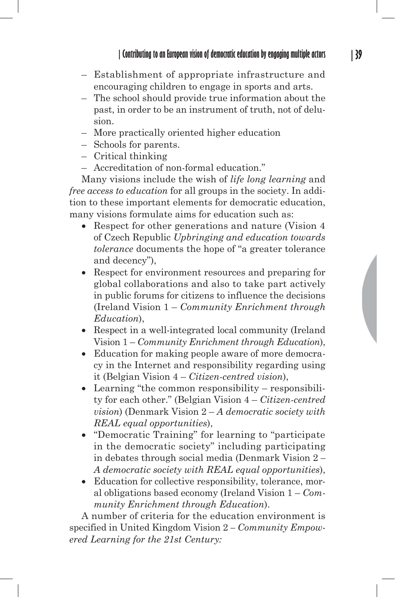- Establishment of appropriate infrastructure and encouraging children to engage in sports and arts.
- The school should provide true information about the past, in order to be an instrument of truth, not of delusion.
- More practically oriented higher education
- Schools for parents.
- Critical thinking
- Accreditation of non-formal education."

Many visions include the wish of *life long learning* and *free access to education* for all groups in the society. In addition to these important elements for democratic education, many visions formulate aims for education such as:

- Respect for other generations and nature (Vision 4 of Czech Republic *Upbringing and education towards tolerance* documents the hope of "a greater tolerance and decency"),
- Respect for environment resources and preparing for global collaborations and also to take part actively in public forums for citizens to influence the decisions (Ireland Vision 1 – *Community Enrichment through Education*),
- Respect in a well-integrated local community (Ireland Vision 1 – *Community Enrichment through Education*),
- Education for making people aware of more democracy in the Internet and responsibility regarding using it (Belgian Vision 4 – *Citizen-centred vision*),
- Learning "the common responsibility responsibility for each other." (Belgian Vision 4 – *Citizen-centred vision*) (Denmark Vision 2 – *A democratic society with REAL equal opportunities*),
- "Democratic Training" for learning to "participate in the democratic society" including participating in debates through social media (Denmark Vision 2 *– A democratic society with REAL equal opportunities*),
- Education for collective responsibility, tolerance, moral obligations based economy (Ireland Vision 1 – *Community Enrichment through Education*).

A number of criteria for the education environment is specified in United Kingdom Vision 2 *– Community Empowered Learning for the 21st Century:*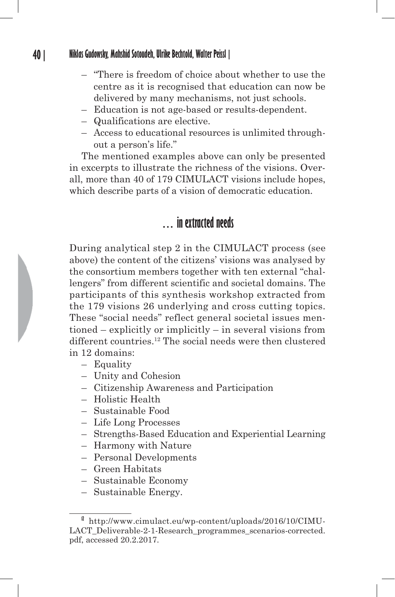- "There is freedom of choice about whether to use the centre as it is recognised that education can now be delivered by many mechanisms, not just schools.
- Education is not age-based or results-dependent.
- Qualifications are elective.
- Access to educational resources is unlimited throughout a person's life."

The mentioned examples above can only be presented in excerpts to illustrate the richness of the visions. Overall, more than 40 of 179 CIMULACT visions include hopes, which describe parts of a vision of democratic education.

# **… in extracted needs**

During analytical step 2 in the CIMULACT process (see above) the content of the citizens' visions was analysed by the consortium members together with ten external "challengers" from different scientific and societal domains. The participants of this synthesis workshop extracted from the 179 visions 26 underlying and cross cutting topics. These "social needs" reflect general societal issues mentioned – explicitly or implicitly – in several visions from different countries.12 The social needs were then clustered in 12 domains:

#### – Equality

- Unity and Cohesion
- Citizenship Awareness and Participation
- Holistic Health
- Sustainable Food
- Life Long Processes
- Strengths-Based Education and Experiential Learning
- Harmony with Nature
- Personal Developments
- Green Habitats
- Sustainable Economy
- Sustainable Energy.

**<sup>12</sup>** http://www.cimulact.eu/wp-content/uploads/2016/10/CIMU-LACT\_Deliverable-2-1-Research\_programmes\_scenarios-corrected. pdf, accessed 20.2.2017.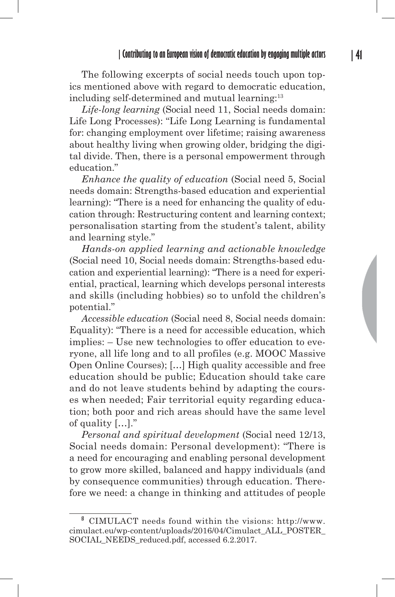The following excerpts of social needs touch upon topics mentioned above with regard to democratic education, including self-determined and mutual learning:<sup>13</sup>

*Life-long learning* (Social need 11, Social needs domain: Life Long Processes): "Life Long Learning is fundamental for: changing employment over lifetime; raising awareness about healthy living when growing older, bridging the digital divide. Then, there is a personal empowerment through education."

*Enhance the quality of education* (Social need 5, Social needs domain: Strengths-based education and experiential learning): "There is a need for enhancing the quality of education through: Restructuring content and learning context; personalisation starting from the student's talent, ability and learning style."

*Hands-on applied learning and actionable knowledge* (Social need 10, Social needs domain: Strengths-based education and experiential learning): "There is a need for experiential, practical, learning which develops personal interests and skills (including hobbies) so to unfold the children's potential."

*Accessible education* (Social need 8, Social needs domain: Equality): "There is a need for accessible education, which implies: – Use new technologies to offer education to everyone, all life long and to all profiles (e.g. MOOC Massive Open Online Courses); […] High quality accessible and free education should be public; Education should take care and do not leave students behind by adapting the courses when needed; Fair territorial equity regarding education; both poor and rich areas should have the same level of quality […]."

*Personal and spiritual development* (Social need 12/13, Social needs domain: Personal development): "There is a need for encouraging and enabling personal development to grow more skilled, balanced and happy individuals (and by consequence communities) through education. Therefore we need: a change in thinking and attitudes of people

**<sup>13</sup>** CIMULACT needs found within the visions: http://www. cimulact.eu/wp-content/uploads/2016/04/Cimulact\_ALL\_POSTER\_ SOCIAL\_NEEDS\_reduced.pdf, accessed 6.2.2017.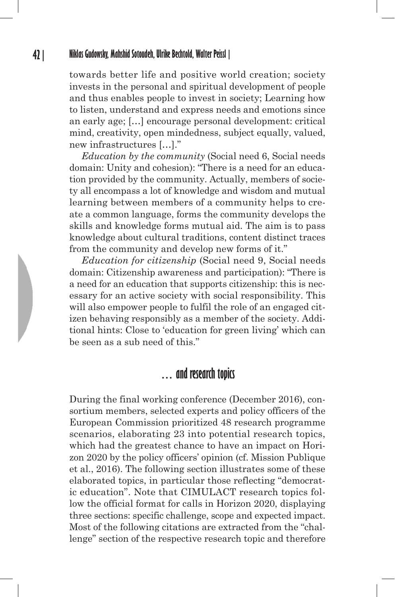towards better life and positive world creation; society invests in the personal and spiritual development of people and thus enables people to invest in society; Learning how to listen, understand and express needs and emotions since an early age; […] encourage personal development: critical mind, creativity, open mindedness, subject equally, valued, new infrastructures […]."

*Education by the community* (Social need 6, Social needs domain: Unity and cohesion): "There is a need for an education provided by the community. Actually, members of society all encompass a lot of knowledge and wisdom and mutual learning between members of a community helps to create a common language, forms the community develops the skills and knowledge forms mutual aid. The aim is to pass knowledge about cultural traditions, content distinct traces from the community and develop new forms of it."

*Education for citizenship* (Social need 9, Social needs domain: Citizenship awareness and participation): "There is a need for an education that supports citizenship: this is necessary for an active society with social responsibility. This will also empower people to fulfil the role of an engaged citizen behaving responsibly as a member of the society. Additional hints: Close to 'education for green living' which can be seen as a sub need of this."

## **… and research topics**

During the final working conference (December 2016), consortium members, selected experts and policy officers of the European Commission prioritized 48 research programme scenarios, elaborating 23 into potential research topics, which had the greatest chance to have an impact on Horizon 2020 by the policy officers' opinion (cf. Mission Publique et al., 2016). The following section illustrates some of these elaborated topics, in particular those reflecting "democratic education". Note that CIMULACT research topics follow the official format for calls in Horizon 2020, displaying three sections: specific challenge, scope and expected impact. Most of the following citations are extracted from the "challenge" section of the respective research topic and therefore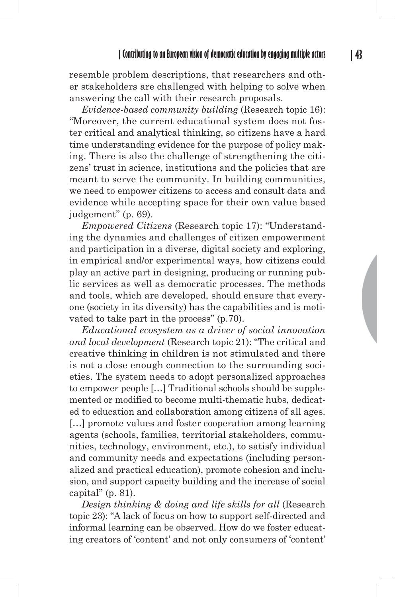resemble problem descriptions, that researchers and other stakeholders are challenged with helping to solve when answering the call with their research proposals.

*Evidence-based community building* (Research topic 16): "Moreover, the current educational system does not foster critical and analytical thinking, so citizens have a hard time understanding evidence for the purpose of policy making. There is also the challenge of strengthening the citizens' trust in science, institutions and the policies that are meant to serve the community. In building communities, we need to empower citizens to access and consult data and evidence while accepting space for their own value based judgement" (p. 69).

*Empowered Citizens* (Research topic 17): "Understanding the dynamics and challenges of citizen empowerment and participation in a diverse, digital society and exploring, in empirical and/or experimental ways, how citizens could play an active part in designing, producing or running public services as well as democratic processes. The methods and tools, which are developed, should ensure that everyone (society in its diversity) has the capabilities and is motivated to take part in the process" (p.70).

*Educational ecosystem as a driver of social innovation and local development* (Research topic 21): "The critical and creative thinking in children is not stimulated and there is not a close enough connection to the surrounding societies. The system needs to adopt personalized approaches to empower people […] Traditional schools should be supplemented or modified to become multi-thematic hubs, dedicated to education and collaboration among citizens of all ages. […] promote values and foster cooperation among learning agents (schools, families, territorial stakeholders, communities, technology, environment, etc.), to satisfy individual and community needs and expectations (including personalized and practical education), promote cohesion and inclusion, and support capacity building and the increase of social capital" (p. 81).

*Design thinking & doing and life skills for all* (Research topic 23): "A lack of focus on how to support self-directed and informal learning can be observed. How do we foster educating creators of 'content' and not only consumers of 'content'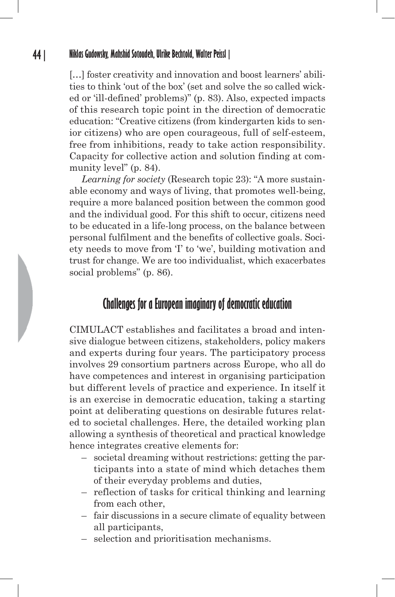[...] foster creativity and innovation and boost learners' abilities to think 'out of the box' (set and solve the so called wicked or 'ill-defined' problems)" (p. 83). Also, expected impacts of this research topic point in the direction of democratic education: "Creative citizens (from kindergarten kids to senior citizens) who are open courageous, full of self-esteem, free from inhibitions, ready to take action responsibility. Capacity for collective action and solution finding at community level" (p. 84).

*Learning for society* (Research topic 23): "A more sustainable economy and ways of living, that promotes well-being, require a more balanced position between the common good and the individual good. For this shift to occur, citizens need to be educated in a life-long process, on the balance between personal fulfilment and the benefits of collective goals. Society needs to move from 'I' to 'we', building motivation and trust for change. We are too individualist, which exacerbates social problems" (p. 86).

# **Challenges for a European imaginary of democratic education**

CIMULACT establishes and facilitates a broad and intensive dialogue between citizens, stakeholders, policy makers and experts during four years. The participatory process involves 29 consortium partners across Europe, who all do have competences and interest in organising participation but different levels of practice and experience. In itself it is an exercise in democratic education, taking a starting point at deliberating questions on desirable futures related to societal challenges. Here, the detailed working plan allowing a synthesis of theoretical and practical knowledge hence integrates creative elements for:

- societal dreaming without restrictions: getting the participants into a state of mind which detaches them of their everyday problems and duties,
- reflection of tasks for critical thinking and learning from each other,
- fair discussions in a secure climate of equality between all participants,
- selection and prioritisation mechanisms.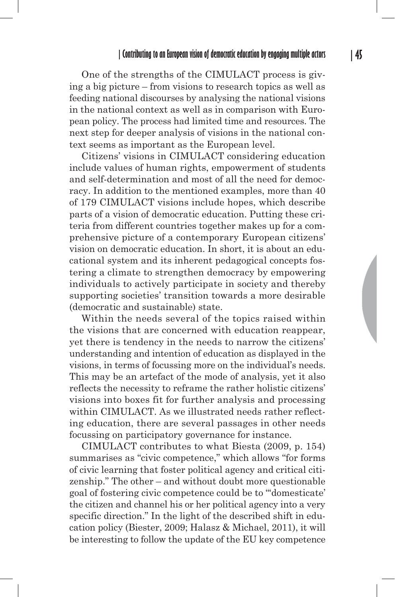One of the strengths of the CIMULACT process is giving a big picture – from visions to research topics as well as feeding national discourses by analysing the national visions in the national context as well as in comparison with European policy. The process had limited time and resources. The next step for deeper analysis of visions in the national context seems as important as the European level.

Citizens' visions in CIMULACT considering education include values of human rights, empowerment of students and self-determination and most of all the need for democracy. In addition to the mentioned examples, more than 40 of 179 CIMULACT visions include hopes, which describe parts of a vision of democratic education. Putting these criteria from different countries together makes up for a comprehensive picture of a contemporary European citizens' vision on democratic education. In short, it is about an educational system and its inherent pedagogical concepts fostering a climate to strengthen democracy by empowering individuals to actively participate in society and thereby supporting societies' transition towards a more desirable (democratic and sustainable) state.

Within the needs several of the topics raised within the visions that are concerned with education reappear, yet there is tendency in the needs to narrow the citizens' understanding and intention of education as displayed in the visions, in terms of focussing more on the individual's needs. This may be an artefact of the mode of analysis, yet it also reflects the necessity to reframe the rather holistic citizens' visions into boxes fit for further analysis and processing within CIMULACT. As we illustrated needs rather reflecting education, there are several passages in other needs focussing on participatory governance for instance.

CIMULACT contributes to what Biesta (2009, p. 154) summarises as "civic competence," which allows "for forms of civic learning that foster political agency and critical citizenship." The other – and without doubt more questionable goal of fostering civic competence could be to "'domesticate' the citizen and channel his or her political agency into a very specific direction." In the light of the described shift in education policy (Biester, 2009; Halasz & Michael, 2011), it will be interesting to follow the update of the EU key competence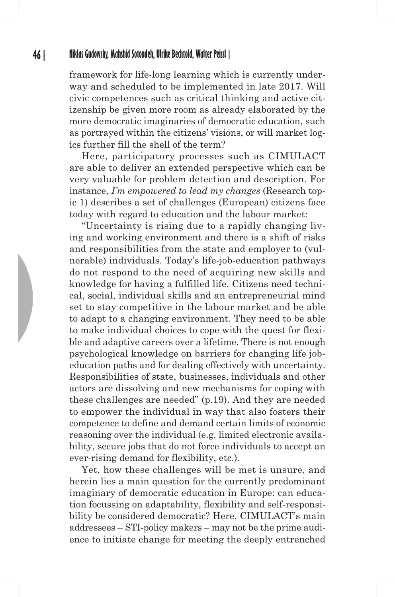framework for life-long learning which is currently underway and scheduled to be implemented in late 2017. Will civic competences such as critical thinking and active citizenship be given more room as already elaborated by the more democratic imaginaries of democratic education, such as portrayed within the citizens' visions, or will market logics further fill the shell of the term?

Here, participatory processes such as CIMULACT are able to deliver an extended perspective which can be very valuable for problem detection and description. For instance, *I'm empowered to lead my changes* (Research topic 1) describes a set of challenges (European) citizens face today with regard to education and the labour market:

"Uncertainty is rising due to a rapidly changing living and working environment and there is a shift of risks and responsibilities from the state and employer to (vulnerable) individuals. Today's life-job-education pathways do not respond to the need of acquiring new skills and knowledge for having a fulfilled life. Citizens need technical, social, individual skills and an entrepreneurial mind set to stay competitive in the labour market and be able to adapt to a changing environment. They need to be able to make individual choices to cope with the quest for flexible and adaptive careers over a lifetime. There is not enough psychological knowledge on barriers for changing life jobeducation paths and for dealing effectively with uncertainty. Responsibilities of state, businesses, individuals and other actors are dissolving and new mechanisms for coping with these challenges are needed" (p.19). And they are needed to empower the individual in way that also fosters their competence to define and demand certain limits of economic reasoning over the individual (e.g. limited electronic availability, secure jobs that do not force individuals to accept an ever-rising demand for flexibility, etc.).

Yet, how these challenges will be met is unsure, and herein lies a main question for the currently predominant imaginary of democratic education in Europe: can education focussing on adaptability, flexibility and self-responsibility be considered democratic? Here, CIMULACT's main addressees – STI-policy makers – may not be the prime audience to initiate change for meeting the deeply entrenched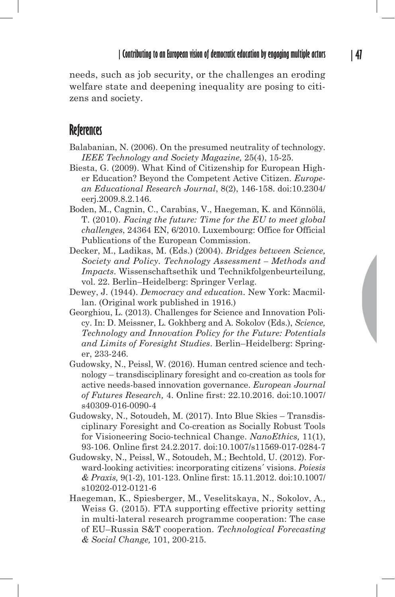needs, such as job security, or the challenges an eroding welfare state and deepening inequality are posing to citizens and society.

# **References**

- Balabanian, N. (2006). On the presumed neutrality of technology. *IEEE Technology and Society Magazine,* 25(4), 15-25.
- Biesta, G. (2009). What Kind of Citizenship for European Higher Education? Beyond the Competent Active Citizen. *European Educational Research Journal*, 8(2), 146-158. doi:10.2304/ eerj.2009.8.2.146.
- Boden, M., Cagnin, C., Carabias, V., Haegeman, K. and Könnölä, T. (2010). *Facing the future: Time for the EU to meet global challenges*, 24364 EN, 6/2010. Luxembourg: Office for Official Publications of the European Commission.
- Decker, M., Ladikas, M. (Eds.) (2004). *Bridges between Science, Society and Policy. Technology Assessment – Methods and Impacts*. Wissenschaftsethik und Technikfolgenbeurteilung, vol. 22. Berlin–Heidelberg: Springer Verlag.
- Dewey, J. (1944). *Democracy and education*. New York: Macmillan. (Original work published in 1916.)
- Georghiou, L. (2013). Challenges for Science and Innovation Policy. In: D. Meissner, L. Gokhberg and A. Sokolov (Eds.), *Science, Technology and Innovation Policy for the Future: Potentials and Limits of Foresight Studies*. Berlin–Heidelberg: Springer, 233-246.
- Gudowsky, N., Peissl, W. (2016). Human centred science and technology – transdisciplinary foresight and co-creation as tools for active needs-based innovation governance. *European Journal of Futures Research,* 4. Online first: 22.10.2016. doi:10.1007/ s40309-016-0090-4
- Gudowsky, N., Sotoudeh, M. (2017). Into Blue Skies Transdisciplinary Foresight and Co-creation as Socially Robust Tools for Visioneering Socio-technical Change. *NanoEthics,* 11(1), 93-106. Online first 24.2.2017. doi:10.1007/s11569-017-0284-7
- Gudowsky, N., Peissl, W., Sotoudeh, M.; Bechtold, U. (2012). Forward-looking activities: incorporating citizens´ visions. *Poiesis & Praxis,* 9(1-2), 101-123. Online first: 15.11.2012. doi:10.1007/ s10202-012-0121-6
- Haegeman, K., Spiesberger, M., Veselitskaya, N., Sokolov, A., Weiss G. (2015). FTA supporting effective priority setting in multi-lateral research programme cooperation: The case of EU–Russia S&T cooperation. *Technological Forecasting & Social Change,* 101, 200-215.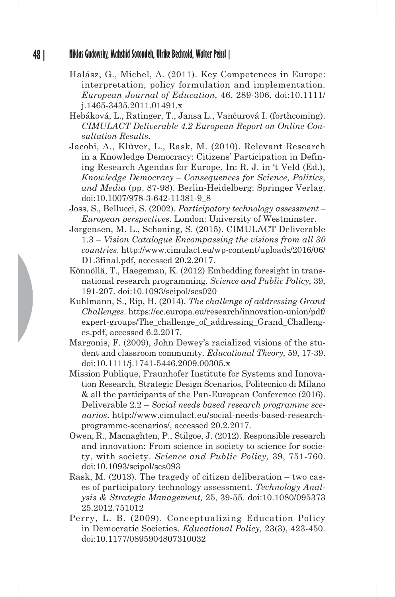- Halász, G., Michel, A. (2011). Key Competences in Europe: interpretation, policy formulation and implementation. *European Journal of Education,* 46, 289-306. doi:10.1111/ j.1465-3435.2011.01491.x
- Hebáková, L., Ratinger, T., Jansa L., Vančurová I. (forthcoming). *CIMULACT Deliverable 4.2 European Report on Online Consultation Results*.
- Jacobi, A., Klüver, L., Rask, M. (2010). Relevant Research in a Knowledge Democracy: Citizens' Participation in Defining Research Agendas for Europe. In: R. J. in 't Veld (Ed.), *Knowledge Democracy – Consequences for Science, Politics, and Media* (pp. 87-98). Berlin-Heidelberg: Springer Verlag. doi:10.1007/978-3-642-11381-9\_8
- Joss, S., Bellucci, S. (2002). *Participatory technology assessment European perspectives*. London: University of Westminster.
- Jørgensen, M. L., Schøning, S. (2015). CIMULACT Deliverable 1.3 – *Vision Catalogue Encompassing the visions from all 30 countries*. http://www.cimulact.eu/wp-content/uploads/2016/06/ D1.3final.pdf, accessed 20.2.2017.
- Könnöllä, T., Haegeman, K. (2012) Embedding foresight in transnational research programming. *Science and Public Policy,* 39, 191-207. doi:10.1093/scipol/scs020
- Kuhlmann, S., Rip, H. (2014). *The challenge of addressing Grand Challenges*. https://ec.europa.eu/research/innovation-union/pdf/ expert-groups/The challenge of addressing Grand Challenges.pdf, accessed 6.2.2017.
- Margonis, F. (2009), John Dewey's racialized visions of the student and classroom community. *Educational Theory,* 59, 17-39. doi:10.1111/j.1741-5446.2009.00305.x
- Mission Publique, Fraunhofer Institute for Systems and Innovation Research, Strategic Design Scenarios, Politecnico di Milano & all the participants of the Pan-European Conference (2016). Deliverable 2.2 – *Social needs based research programme scenarios*. http://www.cimulact.eu/social-needs-based-researchprogramme-scenarios/, accessed 20.2.2017.
- Owen, R., Macnaghten, P., Stilgoe, J. (2012). Responsible research and innovation: From science in society to science for society, with society. *Science and Public Policy,* 39, 751-760. doi:10.1093/scipol/scs093
- Rask, M. (2013). The tragedy of citizen deliberation two cases of participatory technology assessment. *Technology Analysis & Strategic Management,* 25, 39-55. doi:10.1080/095373 25.2012.751012
- Perry, L. B. (2009). Conceptualizing Education Policy in Democratic Societies. *Educational Policy,* 23(3), 423-450. doi:10.1177/0895904807310032